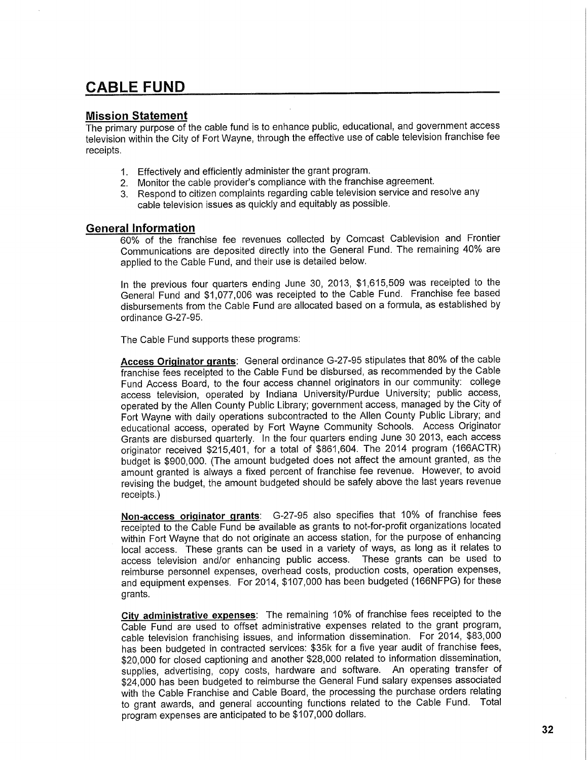## **CABLE FUND**

## **Mission Statement**

The primary purpose of the cable fund is to enhance public, educational, and government access television within the City of Fort Wayne, through the effective use of cable television franchise fee receipts.

- 1. Effectively and efficiently administer the grant program.
- 2. Monitor the cable provider's compliance with the franchise agreement.
- 3. Respond to citizen complaints regarding cable television service and resolve any cable television issues as quickly and equitably as possible.

## **General Information**

60% of the franchise fee revenues collected by Comcast Cablevision and Frontier Communications are deposited directly into the General Fund. The remaining 40% are applied to the Cable Fund, and their use is detailed below.

In the previous four quarters ending June 30, 2013, \$1,615,509 was receipted to the General Fund and \$1,077,006 was receipted to the Cable Fund. Franchise fee based disbursements from the Cable Fund are allocated based on a formula, as established by ordinance G-27-95.

The Cable Fund supports these programs:

**Access Originator grants:** General ordinance G-27-95 stipulates that 80% of the cable franchise fees receipted to the Cable Fund be disbursed, as recommended by the Cable Fund Access Board, to the four access channel originators in our community: college access television, operated by Indiana University/Purdue University; public access, operated by the Allen County Public Library; government access, managed by the City of Fort Wayne with daily operations subcontracted to the Allen County Public Library; and educational access, operated by Fort Wayne Community Schools. Access Originator Grants are disbursed quarterly. In the four quarters ending June 30 2013, each access originator received \$215,401, for a total of \$861,604. The 2014 program (166ACTR) budget is \$900,000. (The amount budgeted does not affect the amount granted, as the amount granted is always a fixed percent of franchise fee revenue. However, to avoid revising the budget, the amount budgeted should be safely above the last years revenue receipts.)

**Non-access originator grants:** G-27-95 also specifies that 10% of franchise fees receipted to the Cable Fund be available as grants to not-for-profit organizations located within Fort Wayne that do not originate an access station, for the purpose of enhancing local access. These grants can be used in a variety of ways, as long as it relates to access television and/or enhancing public access. These grants can be used to reimburse personnel expenses, overhead costs, production costs, operation expenses, and equipment expenses. For 2014, \$107,000 has been budgeted (166NFPG) for these grants.

**City administrative expenses:** The remaining 10% of franchise fees receipted to the Cable Fund are used to offset administrative expenses related to the grant program, cable television franchising issues, and information dissemination. For 2014, \$83,000 has been budgeted in contracted services: \$35k for a five year audit of franchise fees, \$20,000 for closed captioning and another \$28,000 related to information dissemination, supplies, advertising, copy costs, hardware and software. An operating transfer of \$24,000 has been budgeted to reimburse the General Fund salary expenses associated with the Cable Franchise and Cable Board, the processing the purchase orders relating to grant awards, and general accounting functions related to the Cable Fund. Total program expenses are anticipated to be \$107,000 dollars.